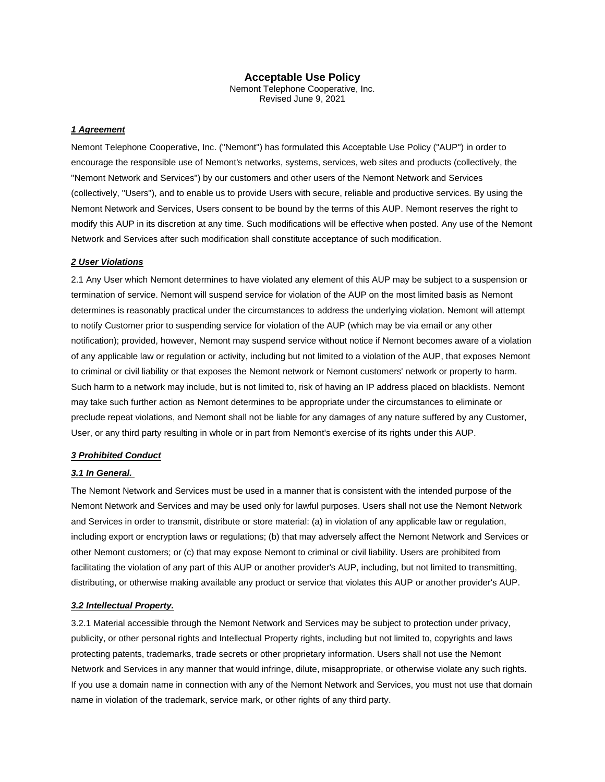# **Acceptable Use Policy**

Nemont Telephone Cooperative, Inc. Revised June 9, 2021

#### *1 Agreement*

Nemont Telephone Cooperative, Inc. ("Nemont") has formulated this Acceptable Use Policy ("AUP") in order to encourage the responsible use of Nemont's networks, systems, services, web sites and products (collectively, the "Nemont Network and Services") by our customers and other users of the Nemont Network and Services (collectively, "Users"), and to enable us to provide Users with secure, reliable and productive services. By using the Nemont Network and Services, Users consent to be bound by the terms of this AUP. Nemont reserves the right to modify this AUP in its discretion at any time. Such modifications will be effective when posted. Any use of the Nemont Network and Services after such modification shall constitute acceptance of such modification.

### *2 User Violations*

2.1 Any User which Nemont determines to have violated any element of this AUP may be subject to a suspension or termination of service. Nemont will suspend service for violation of the AUP on the most limited basis as Nemont determines is reasonably practical under the circumstances to address the underlying violation. Nemont will attempt to notify Customer prior to suspending service for violation of the AUP (which may be via email or any other notification); provided, however, Nemont may suspend service without notice if Nemont becomes aware of a violation of any applicable law or regulation or activity, including but not limited to a violation of the AUP, that exposes Nemont to criminal or civil liability or that exposes the Nemont network or Nemont customers' network or property to harm. Such harm to a network may include, but is not limited to, risk of having an IP address placed on blacklists. Nemont may take such further action as Nemont determines to be appropriate under the circumstances to eliminate or preclude repeat violations, and Nemont shall not be liable for any damages of any nature suffered by any Customer, User, or any third party resulting in whole or in part from Nemont's exercise of its rights under this AUP.

#### *3 Prohibited Conduct*

### *3.1 In General.*

The Nemont Network and Services must be used in a manner that is consistent with the intended purpose of the Nemont Network and Services and may be used only for lawful purposes. Users shall not use the Nemont Network and Services in order to transmit, distribute or store material: (a) in violation of any applicable law or regulation, including export or encryption laws or regulations; (b) that may adversely affect the Nemont Network and Services or other Nemont customers; or (c) that may expose Nemont to criminal or civil liability. Users are prohibited from facilitating the violation of any part of this AUP or another provider's AUP, including, but not limited to transmitting, distributing, or otherwise making available any product or service that violates this AUP or another provider's AUP.

# *3.2 Intellectual Property.*

3.2.1 Material accessible through the Nemont Network and Services may be subject to protection under privacy, publicity, or other personal rights and Intellectual Property rights, including but not limited to, copyrights and laws protecting patents, trademarks, trade secrets or other proprietary information. Users shall not use the Nemont Network and Services in any manner that would infringe, dilute, misappropriate, or otherwise violate any such rights. If you use a domain name in connection with any of the Nemont Network and Services, you must not use that domain name in violation of the trademark, service mark, or other rights of any third party.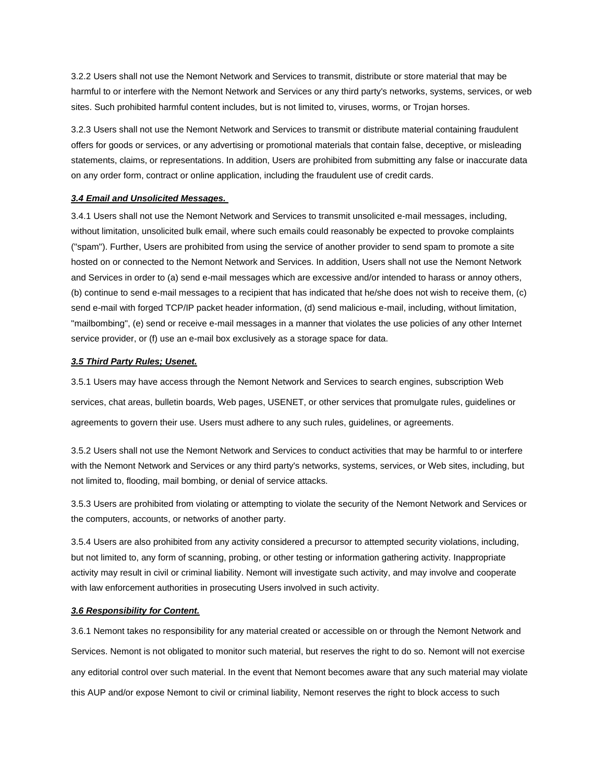3.2.2 Users shall not use the Nemont Network and Services to transmit, distribute or store material that may be harmful to or interfere with the Nemont Network and Services or any third party's networks, systems, services, or web sites. Such prohibited harmful content includes, but is not limited to, viruses, worms, or Trojan horses.

3.2.3 Users shall not use the Nemont Network and Services to transmit or distribute material containing fraudulent offers for goods or services, or any advertising or promotional materials that contain false, deceptive, or misleading statements, claims, or representations. In addition, Users are prohibited from submitting any false or inaccurate data on any order form, contract or online application, including the fraudulent use of credit cards.

# *3.4 Email and Unsolicited Messages.*

3.4.1 Users shall not use the Nemont Network and Services to transmit unsolicited e-mail messages, including, without limitation, unsolicited bulk email, where such emails could reasonably be expected to provoke complaints ("spam"). Further, Users are prohibited from using the service of another provider to send spam to promote a site hosted on or connected to the Nemont Network and Services. In addition, Users shall not use the Nemont Network and Services in order to (a) send e-mail messages which are excessive and/or intended to harass or annoy others, (b) continue to send e-mail messages to a recipient that has indicated that he/she does not wish to receive them, (c) send e-mail with forged TCP/IP packet header information, (d) send malicious e-mail, including, without limitation, "mailbombing", (e) send or receive e-mail messages in a manner that violates the use policies of any other Internet service provider, or (f) use an e-mail box exclusively as a storage space for data.

#### *3.5 Third Party Rules; Usenet.*

3.5.1 Users may have access through the Nemont Network and Services to search engines, subscription Web services, chat areas, bulletin boards, Web pages, USENET, or other services that promulgate rules, guidelines or agreements to govern their use. Users must adhere to any such rules, guidelines, or agreements.

3.5.2 Users shall not use the Nemont Network and Services to conduct activities that may be harmful to or interfere with the Nemont Network and Services or any third party's networks, systems, services, or Web sites, including, but not limited to, flooding, mail bombing, or denial of service attacks.

3.5.3 Users are prohibited from violating or attempting to violate the security of the Nemont Network and Services or the computers, accounts, or networks of another party.

3.5.4 Users are also prohibited from any activity considered a precursor to attempted security violations, including, but not limited to, any form of scanning, probing, or other testing or information gathering activity. Inappropriate activity may result in civil or criminal liability. Nemont will investigate such activity, and may involve and cooperate with law enforcement authorities in prosecuting Users involved in such activity.

### *3.6 Responsibility for Content.*

3.6.1 Nemont takes no responsibility for any material created or accessible on or through the Nemont Network and Services. Nemont is not obligated to monitor such material, but reserves the right to do so. Nemont will not exercise any editorial control over such material. In the event that Nemont becomes aware that any such material may violate this AUP and/or expose Nemont to civil or criminal liability, Nemont reserves the right to block access to such